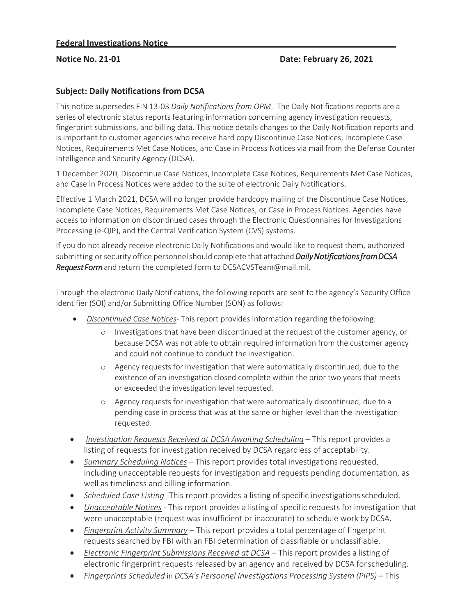## **Subject: Daily Notifications from DCSA**

This notice supersedes FIN 13-03 *Daily Notifications from OPM*. The Daily Notifications reports are a series of electronic status reports featuring information concerning agency investigation requests, fingerprint submissions, and billing data. This notice details changes to the Daily Notification reports and is important to customer agencies who receive hard copy Discontinue Case Notices, Incomplete Case Notices, Requirements Met Case Notices, and Case in Process Notices via mail from the Defense Counter Intelligence and Security Agency (DCSA).

1 December 2020, Discontinue Case Notices, Incomplete Case Notices, Requirements Met Case Notices, and Case in Process Notices were added to the suite of electronic Daily Notifications.

Effective 1 March 2021, DCSA will no longer provide hardcopy mailing of the Discontinue Case Notices, Incomplete Case Notices, Requirements Met Case Notices, or Case in Process Notices. Agencies have access to information on discontinued cases through the Electronic Questionnaires for Investigations Processing (e-QIP), and the Central Verification System (CVS) systems.

If you do not already receive electronic Daily Notifications and would like to request them, authorized submitting or security office personnel should complete that attached *Daily Notifications from DCSA Request Form* and return the completed form to DCSACVSTeam@mail.mil.

Through the electronic Daily Notifications, the following reports are sent to the agency's Security Office Identifier (SOI) and/or Submitting Office Number (SON) as follows:

- x *Discontinued Case Notices* This report provides information regarding the following:
	- o Investigations that have been discontinued at the request of the customer agency, or because DCSA was not able to obtain required information from the customer agency and could not continue to conduct the investigation.
	- o Agency requests for investigation that were automatically discontinued, due to the existence of an investigation closed complete within the prior two years that meets or exceeded the investigation level requested.
	- o Agency requests for investigation that were automatically discontinued, due to a pending case in process that was at the same or higher level than the investigation requested.
- **•** *Investigation Requests Received at DCSA Awaiting Scheduling This report provides a* listing of requests for investigation received by DCSA regardless of acceptability.
- *Summary Scheduling Notices* This report provides total investigations requested, including unacceptable requests for investigation and requests pending documentation, as well as timeliness and billing information.
- **•** Scheduled Case Listing -This report provides a listing of specific investigations scheduled.
- **•** *Unacceptable Notices* This report provides a listing of specific requests for investigation that were unacceptable (request was insufficient or inaccurate) to schedule work by DCSA.
- x *Fingerprint Activity Summary*  This report provides a total percentage of fingerprint requests searched by FBI with an FBI determination of classifiable or unclassifiable.
- *Electronic Fingerprint Submissions Received at DCSA This report provides a listing of* electronic fingerprint requests released by an agency and received by DCSA for scheduling.
- x *Fingerprints Scheduled* in *DCSA's Personnel Investigations Processing System (PIPS)*  This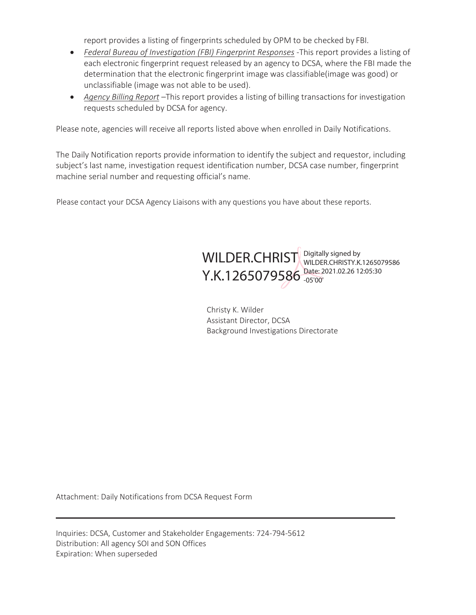report provides a listing of fingerprints scheduled by OPM to be checked by FBI.

- *Federal Bureau of Investigation (FBI) Fingerprint Responses* -This report provides a listing of each electronic fingerprint request released by an agency to DCSA, where the FBI made the determination that the electronic fingerprint image was classifiable(image was good) or unclassifiable (image was not able to be used).
- *Agency Billing Report* –This report provides a listing of billing transactions for investigation requests scheduled by DCSA for agency.

Please note, agencies will receive all reports listed above when enrolled in Daily Notifications.

The Daily Notification reports provide information to identify the subject and requestor, including subject's last name, investigation request identification number, DCSA case number, fingerprint machine serial number and requesting official's name.

Please contact your DCSA Agency Liaisons with any questions you have about these reports.



Christy K. Wilder Assistant Director, DCSA Background Investigations Directorate

Attachment: Daily Notifications from DCSA Request Form

Inquiries: DCSA, Customer and Stakeholder Engagements: 724-794-5612 Distribution: All agency SOI and SON Offices Expiration: When superseded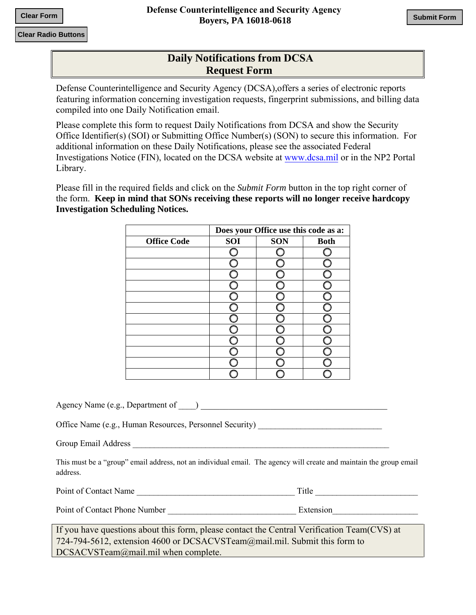## **Daily Notifications from DCSA Request Form**

Defense Counterintelligence and Security Agency (DCSA),offers a series of electronic reports featuring information concerning investigation requests, fingerprint submissions, and billing data compiled into one Daily Notification email.

Please complete this form to request Daily Notifications from DCSA and show the Security Office Identifier(s) (SOI) or Submitting Office Number(s) (SON) to secure this information. For additional information on these Daily Notifications, please see the associated Federal Investigations Notice (FIN), located on the DCSA website at [www.dcsa.mil](https://www.dcsa.mil/mc/pv/gov_hr_security/notices_PSP/) or in the NP2 Portal Library.

Please fill in the required fields and click on the *Submit Form* button in the top right corner of the form. **Keep in mind that SONs receiving these reports will no longer receive hardcopy Investigation Scheduling Notices.** 

|                    | Does your Office use this code as a: |            |             |  |
|--------------------|--------------------------------------|------------|-------------|--|
| <b>Office Code</b> | SOI                                  | <b>SON</b> | <b>Both</b> |  |
|                    |                                      |            |             |  |
|                    |                                      |            |             |  |
|                    |                                      |            |             |  |
|                    |                                      |            |             |  |
|                    |                                      |            |             |  |
|                    |                                      |            |             |  |
|                    |                                      |            |             |  |
|                    |                                      |            |             |  |
|                    |                                      |            |             |  |
|                    |                                      |            |             |  |
|                    |                                      |            |             |  |
|                    |                                      |            |             |  |

Agency Name (e.g., Department of  $\qquad$  )

Office Name (e.g., Human Resources, Personnel Security) \_\_\_\_\_\_\_\_\_\_\_\_\_\_\_\_\_\_\_\_\_\_\_\_

Group Email Address **Exercise 2.1** 

This must be a "group" email address, not an individual email. The agency will create and maintain the group email address.

| Point of Contact Name | T<br>. itle |  |
|-----------------------|-------------|--|
|                       |             |  |

Point of Contact Phone Number \_\_\_\_\_\_\_\_\_\_\_\_\_\_\_\_\_\_\_\_\_\_\_\_\_\_\_\_\_\_ Extension\_\_\_\_\_\_\_\_\_\_\_\_\_\_\_\_\_\_\_\_

If you have questions about this form, please contact the Central Verification Team(CVS) at 724-794-5612, extension 4600 or DCSACVSTeam@mail.mil. Submit this form to DCSACVSTeam@mail.mil when complete.